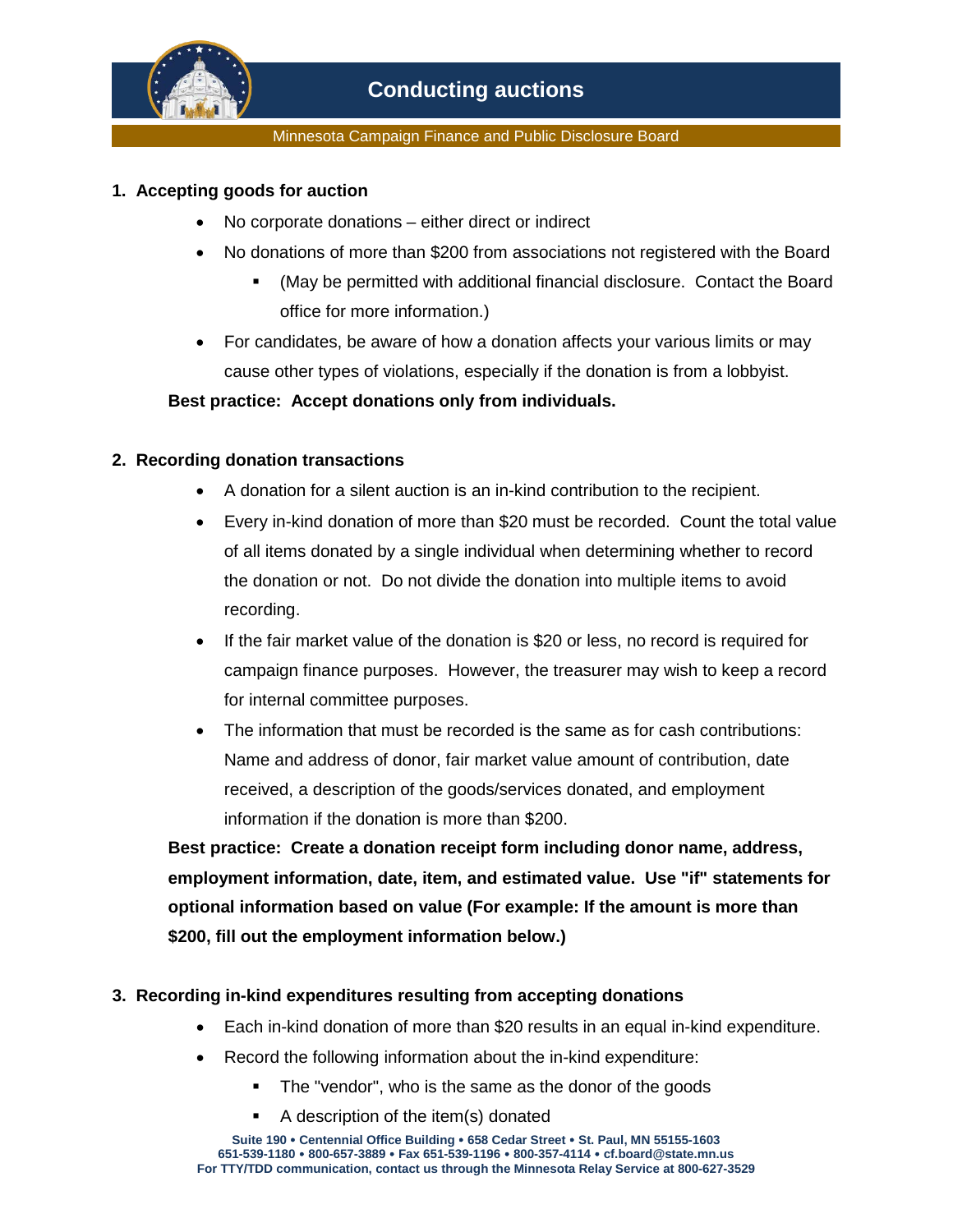

Minnesota Campaign Finance and Public Disclosure Board

## **1. Accepting goods for auction**

- No corporate donations either direct or indirect
- No donations of more than \$200 from associations not registered with the Board
	- (May be permitted with additional financial disclosure. Contact the Board office for more information.)
- For candidates, be aware of how a donation affects your various limits or may cause other types of violations, especially if the donation is from a lobbyist.

## **Best practice: Accept donations only from individuals.**

## **2. Recording donation transactions**

- A donation for a silent auction is an in-kind contribution to the recipient.
- Every in-kind donation of more than \$20 must be recorded. Count the total value of all items donated by a single individual when determining whether to record the donation or not. Do not divide the donation into multiple items to avoid recording.
- If the fair market value of the donation is \$20 or less, no record is required for campaign finance purposes. However, the treasurer may wish to keep a record for internal committee purposes.
- The information that must be recorded is the same as for cash contributions: Name and address of donor, fair market value amount of contribution, date received, a description of the goods/services donated, and employment information if the donation is more than \$200.

**Best practice: Create a donation receipt form including donor name, address, employment information, date, item, and estimated value. Use "if" statements for optional information based on value (For example: If the amount is more than \$200, fill out the employment information below.)**

## **3. Recording in-kind expenditures resulting from accepting donations**

- Each in-kind donation of more than \$20 results in an equal in-kind expenditure.
- Record the following information about the in-kind expenditure:
	- The "vendor", who is the same as the donor of the goods
	- A description of the item(s) donated